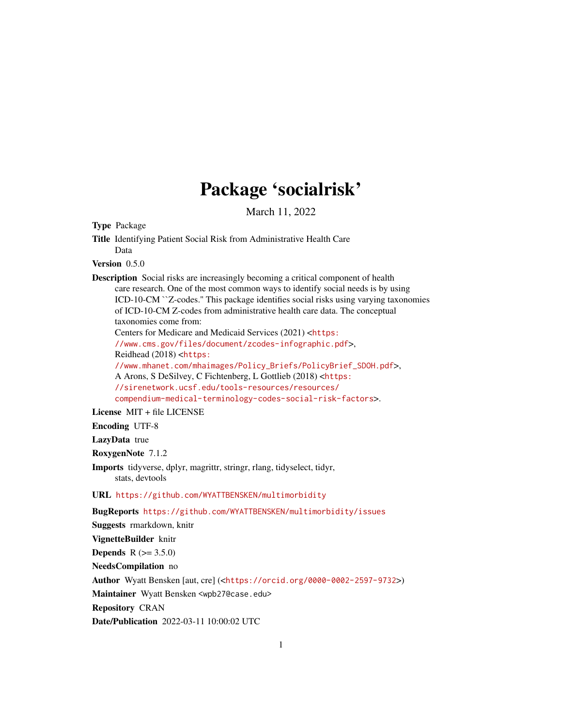## Package 'socialrisk'

March 11, 2022

Type Package

Title Identifying Patient Social Risk from Administrative Health Care Data

Version 0.5.0

Description Social risks are increasingly becoming a critical component of health care research. One of the most common ways to identify social needs is by using ICD-10-CM ``Z-codes.'' This package identifies social risks using varying taxonomies of ICD-10-CM Z-codes from administrative health care data. The conceptual taxonomies come from: Centers for Medicare and Medicaid Services (2021) <[https:](https://www.cms.gov/files/document/zcodes-infographic.pdf) [//www.cms.gov/files/document/zcodes-infographic.pdf](https://www.cms.gov/files/document/zcodes-infographic.pdf)>, Reidhead (2018) <[https:](https://www.mhanet.com/mhaimages/Policy_Briefs/PolicyBrief_SDOH.pdf) [//www.mhanet.com/mhaimages/Policy\\_Briefs/PolicyBrief\\_SDOH.pdf](https://www.mhanet.com/mhaimages/Policy_Briefs/PolicyBrief_SDOH.pdf)>, A Arons, S DeSilvey, C Fichtenberg, L Gottlieb (2018) <[https:](https://sirenetwork.ucsf.edu/tools-resources/resources/compendium-medical-terminology-codes-social-risk-factors) [//sirenetwork.ucsf.edu/tools-resources/resources/](https://sirenetwork.ucsf.edu/tools-resources/resources/compendium-medical-terminology-codes-social-risk-factors) [compendium-medical-terminology-codes-social-risk-factors](https://sirenetwork.ucsf.edu/tools-resources/resources/compendium-medical-terminology-codes-social-risk-factors)>.

License MIT + file LICENSE

Encoding UTF-8

LazyData true

RoxygenNote 7.1.2

Imports tidyverse, dplyr, magrittr, stringr, rlang, tidyselect, tidyr, stats, devtools

URL <https://github.com/WYATTBENSKEN/multimorbidity>

BugReports <https://github.com/WYATTBENSKEN/multimorbidity/issues>

Suggests rmarkdown, knitr

VignetteBuilder knitr

**Depends**  $R (= 3.5.0)$ 

NeedsCompilation no

Author Wyatt Bensken [aut, cre] (<<https://orcid.org/0000-0002-2597-9732>>)

Maintainer Wyatt Bensken <wpb27@case.edu>

Repository CRAN

Date/Publication 2022-03-11 10:00:02 UTC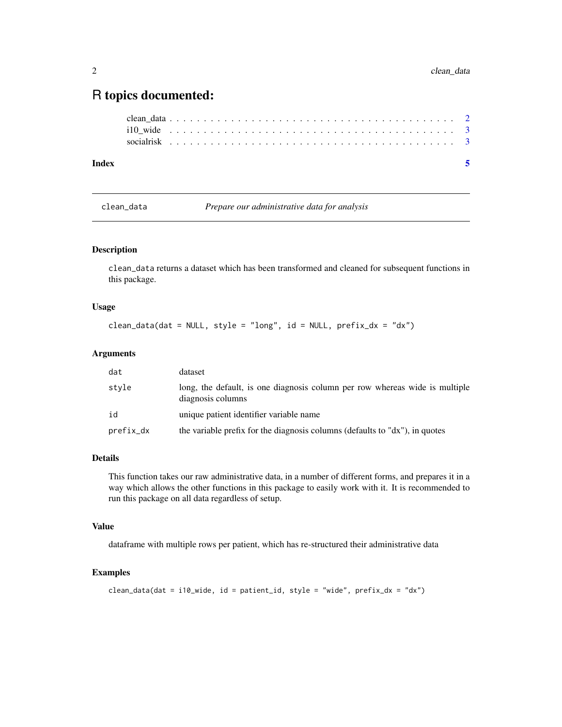### <span id="page-1-0"></span>R topics documented:

| Index |  |  |  |  |  |  |  |  |  |  |  |  |  |  |  |  |  |  |  |  |  |  |
|-------|--|--|--|--|--|--|--|--|--|--|--|--|--|--|--|--|--|--|--|--|--|--|
|       |  |  |  |  |  |  |  |  |  |  |  |  |  |  |  |  |  |  |  |  |  |  |
|       |  |  |  |  |  |  |  |  |  |  |  |  |  |  |  |  |  |  |  |  |  |  |
|       |  |  |  |  |  |  |  |  |  |  |  |  |  |  |  |  |  |  |  |  |  |  |

clean\_data *Prepare our administrative data for analysis*

#### Description

clean\_data returns a dataset which has been transformed and cleaned for subsequent functions in this package.

#### Usage

```
clean_data(dat = NULL, style = "long", id = NULL, prefix\_dx = "dx")
```
#### Arguments

| dat       | dataset                                                                                          |
|-----------|--------------------------------------------------------------------------------------------------|
| style     | long, the default, is one diagnosis column per row whereas wide is multiple<br>diagnosis columns |
| id        | unique patient identifier variable name                                                          |
| prefix_dx | the variable prefix for the diagnosis columns (defaults to "dx"), in quotes                      |

#### Details

This function takes our raw administrative data, in a number of different forms, and prepares it in a way which allows the other functions in this package to easily work with it. It is recommended to run this package on all data regardless of setup.

#### Value

dataframe with multiple rows per patient, which has re-structured their administrative data

#### Examples

```
clean_data(dat = i10_wide, id = patient_id, style = "wide", prefix_dx = "dx")
```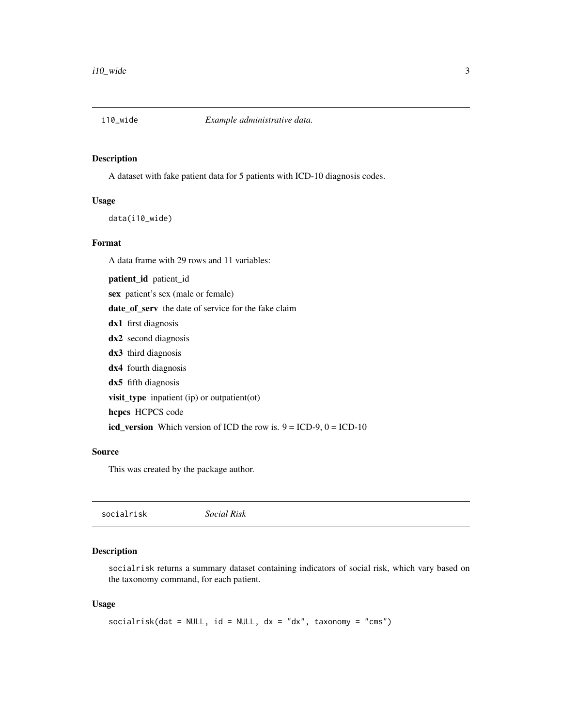<span id="page-2-0"></span>

#### Description

A dataset with fake patient data for 5 patients with ICD-10 diagnosis codes.

#### Usage

data(i10\_wide)

#### Format

A data frame with 29 rows and 11 variables:

patient\_id patient\_id

sex patient's sex (male or female)

date\_of\_serv the date of service for the fake claim

- dx1 first diagnosis
- dx2 second diagnosis
- dx3 third diagnosis
- dx4 fourth diagnosis
- dx5 fifth diagnosis

visit\_type inpatient (ip) or outpatient(ot)

hcpcs HCPCS code

icd\_version Which version of ICD the row is.  $9 = ICD-9$ ,  $0 = ICD-10$ 

#### Source

This was created by the package author.

| socialrisk | Social Risk |  |  |
|------------|-------------|--|--|
|------------|-------------|--|--|

#### Description

socialrisk returns a summary dataset containing indicators of social risk, which vary based on the taxonomy command, for each patient.

#### Usage

```
socialrisk(dat = NULL, id = NULL, dx = "dx", taxonomy = "cms")
```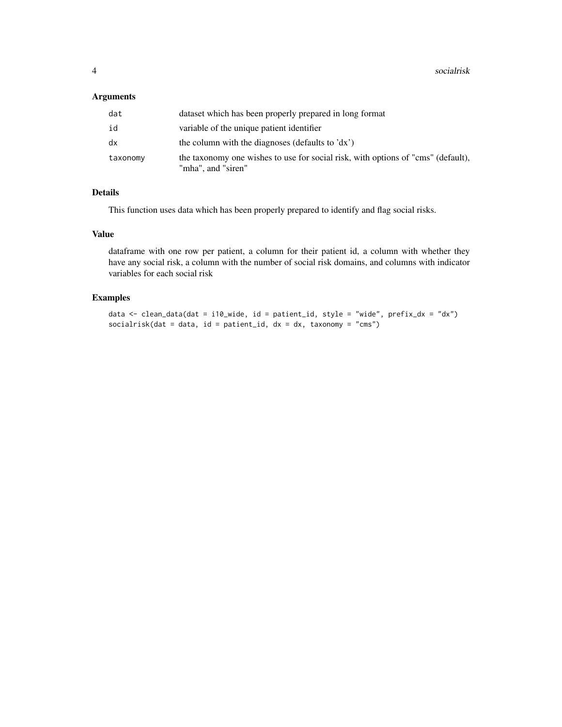#### Arguments

| dat      | dataset which has been properly prepared in long format                                                |
|----------|--------------------------------------------------------------------------------------------------------|
| id       | variable of the unique patient identifier                                                              |
| dx       | the column with the diagnoses (defaults to 'dx')                                                       |
| taxonomy | the taxonomy one wishes to use for social risk, with options of "cms" (default),<br>"mha", and "siren" |

#### Details

This function uses data which has been properly prepared to identify and flag social risks.

#### Value

dataframe with one row per patient, a column for their patient id, a column with whether they have any social risk, a column with the number of social risk domains, and columns with indicator variables for each social risk

#### Examples

```
data \le clean_data(dat = i10_wide, id = patient_id, style = "wide", prefix_dx = "dx")
socialrisk(dat = data, id = patient_id, dx = dx, taxonomy = "cms")
```